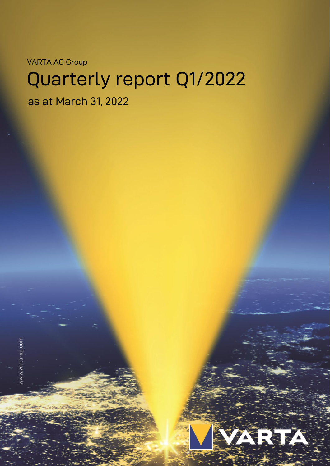VARTA AG Group

# Quarterly report Q1/2022

as at March 31, 2022



www.varta-ag.com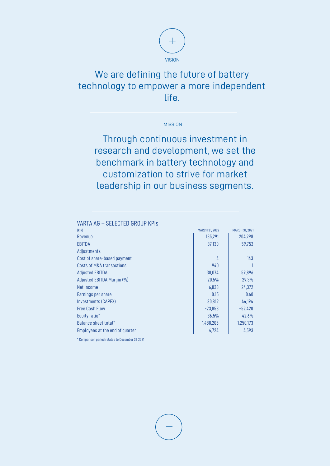

## We are defining the future of battery technology to empower a more independent life.

**MISSION** 

Through continuous investment in research and development, we set the benchmark in battery technology and customization to strive for market leadership in our business segments.

| VARTA AG - SELECTED GROUP KPIS  |                       |                       |
|---------------------------------|-----------------------|-----------------------|
| (E k)                           | <b>MARCH 31, 2022</b> | <b>MARCH 31, 2021</b> |
| Revenue                         | 185,291               | 204,298               |
| EBITDA                          | 37.130                | 59,752                |
| Adjustments:                    |                       |                       |
| Cost of share-based payment     | 4                     | 143                   |
| Costs of M&A transactions       | 940                   |                       |
| <b>Adjusted EBITDA</b>          | 38,074                | 59,896                |
| Adjusted EBITDA Margin (%)      | 20.5%                 | 29.3%                 |
| Net income                      | 6,033                 | 24,372                |
| Earnings per share              | 0.15                  | 0.60                  |
| Investments (CAPEX)             | 30,812                | 44,194                |
| <b>Free Cash Flow</b>           | $-23,853$             | $-52,420$             |
| Equity ratio*                   | 36.5%                 | 42.6%                 |
| Balance sheet total*            | 1,488,205             | 1,250,173             |
| Employees at the end of quarter | 4.724                 | 4,593                 |

\* Comparison period relates to December 31, 2021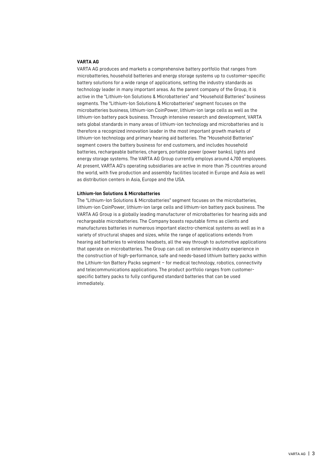#### **VARTA AG**

VARTA AG produces and markets a comprehensive battery portfolio that ranges from microbatteries, household batteries and energy storage systems up to customer-specific battery solutions for a wide range of applications, setting the industry standards as technology leader in many important areas. As the parent company of the Group, it is active in the "Lithium-Ion Solutions & Microbatteries" and "Household Batteries" business segments. The "Lithium-Ion Solutions & Microbatteries" segment focuses on the microbatteries business, lithium-ion CoinPower, lithium-ion large cells as well as the lithium-ion battery pack business. Through intensive research and development, VARTA sets global standards in many areas of lithium-ion technology and microbatteries and is therefore a recognized innovation leader in the most important growth markets of lithium-ion technology and primary hearing aid batteries. The "Household Batteries" segment covers the battery business for end customers, and includes household batteries, rechargeable batteries, chargers, portable power (power banks), lights and energy storage systems. The VARTA AG Group currently employs around 4,700 employees. At present, VARTA AG's operating subsidiaries are active in more than 75 countries around the world, with five production and assembly facilities located in Europe and Asia as well as distribution centers in Asia, Europe and the USA.

#### **Lithium-Ion Solutions & Microbatteries**

The "Lithium-Ion Solutions & Microbatteries" segment focuses on the microbatteries, lithium-ion CoinPower, lithium-ion large cells and lithium-ion battery pack business. The VARTA AG Group is a globally leading manufacturer of microbatteries for hearing aids and rechargeable microbatteries. The Company boasts reputable firms as clients and manufactures batteries in numerous important electro-chemical systems as well as in a variety of structural shapes and sizes, while the range of applications extends from hearing aid batteries to wireless headsets, all the way through to automotive applications that operate on microbatteries. The Group can call on extensive industry experience in the construction of high-performance, safe and needs-based lithium battery packs within the Lithium-Ion Battery Packs segment – for medical technology, robotics, connectivity and telecommunications applications. The product portfolio ranges from customerspecific battery packs to fully configured standard batteries that can be used immediately.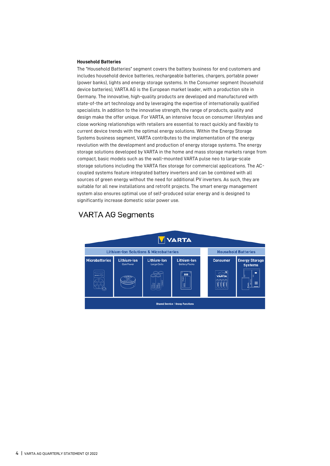#### **Household Batteries**

The "Household Batteries" segment covers the battery business for end customers and includes household device batteries, rechargeable batteries, chargers, portable power (power banks), lights and energy storage systems. In the Consumer segment (household device batteries), VARTA AG is the European market leader, with a production site in Germany. The innovative, high-quality products are developed and manufactured with state-of-the art technology and by leveraging the expertise of internationally qualified specialists. In addition to the innovative strength, the range of products, quality and design make the offer unique. For VARTA, an intensive focus on consumer lifestyles and close working relationships with retailers are essential to react quickly and flexibly to current device trends with the optimal energy solutions. Within the Energy Storage Systems business segment, VARTA contributes to the implementation of the energy revolution with the development and production of energy storage systems. The energy storage solutions developed by VARTA in the home and mass storage markets range from compact, basic models such as the wall-mounted VARTA pulse neo to large-scale storage solutions including the VARTA flex storage for commercial applications. The ACcoupled systems feature integrated battery inverters and can be combined with all sources of green energy without the need for additional PV inverters. As such, they are suitable for all new installations and retrofit projects. The smart energy management system also ensures optimal use of self-produced solar energy and is designed to significantly increase domestic solar power use.

### **VARTA AG Segments**

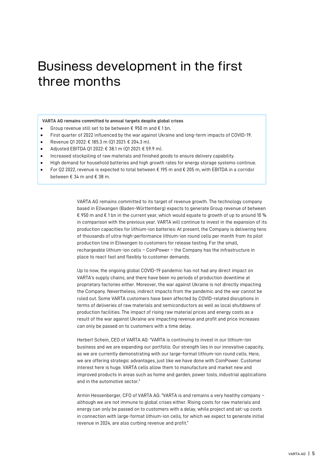## Business development in the first three months

#### **VARTA AG remains committed to annual targets despite global crises**

- Group revenue still set to be between € 950 m and € 1 bn.
- First quarter of 2022 influenced by the war against Ukraine and long-term impacts of COVID-19.
- Revenue Q1 2022: € 185.3 m (Q1 2021: € 204.3 m).
- Adjusted EBITDA Q1 2022: € 38.1 m (Q1 2021: € 59.9 m).
- Increased stockpiling of raw materials and finished goods to ensure delivery capability.
- High demand for household batteries and high growth rates for energy storage systems continue.
- For Q2 2022, revenue is expected to total between € 195 m and € 205 m, with EBITDA in a corridor between € 34 m and € 38 m.

VARTA AG remains committed to its target of revenue growth. The technology company based in Ellwangen (Baden-Württemberg) expects to generate Group revenue of between € 950 m and  $\epsilon$  1 bn in the current year, which would equate to growth of up to around 10 % in comparison with the previous year. VARTA will continue to invest in the expansion of its production capacities for lithium-ion batteries: At present, the Company is delivering tens of thousands of ultra-high-performance lithium-ion round cells per month from its pilot production line in Ellwangen to customers for release testing. For the small, rechargeable lithium-ion cells – CoinPower – the Company has the infrastructure in place to react fast and flexibly to customer demands.

Up to now, the ongoing global COVID-19 pandemic has not had any direct impact on VARTA's supply chains, and there have been no periods of production downtime at proprietary factories either. Moreover, the war against Ukraine is not directly impacting the Company. Nevertheless, indirect impacts from the pandemic and the war cannot be ruled out. Some VARTA customers have been affected by COVID-related disruptions in terms of deliveries of raw materials and semiconductors as well as local shutdowns of production facilities. The impact of rising raw material prices and energy costs as a result of the war against Ukraine are impacting revenue and profit and price increases can only be passed on to customers with a time delay.

Herbert Schein, CEO of VARTA AG: "VARTA is continuing to invest in our lithium-ion business and we are expanding our portfolio. Our strength lies in our innovative capacity, as we are currently demonstrating with our large-format lithium-ion round cells. Here, we are offering strategic advantages, just like we have done with CoinPower. Customer interest here is huge. VARTA cells allow them to manufacture and market new and improved products in areas such as home and garden, power tools, industrial applications and in the automotive sector."

Armin Hessenberger, CFO of VARTA AG: "VARTA is and remains a very healthy company – although we are not immune to global crises either. Rising costs for raw materials and energy can only be passed on to customers with a delay, while project and set-up costs in connection with large-format lithium-ion cells, for which we expect to generate initial revenue in 2024, are also curbing revenue and profit."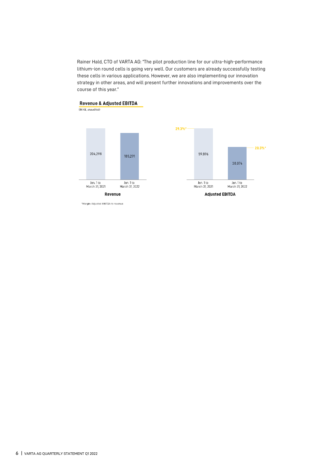Rainer Hald, CTO of VARTA AG: "The pilot production line for our ultra-high-performance lithium-ion round cells is going very well. Our customers are already successfully testing these cells in various applications. However, we are also implementing our innovation strategy in other areas, and will present further innovations and improvements over the course of this year."



\*Margin: Adjusted EBITDA to revenue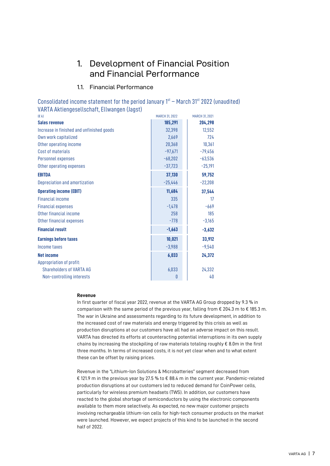## 1. Development of Financial Position and Financial Performance

### 1.1. Financial Performance

Consolidated income statement for the period January  $1<sup>st</sup>$  – March 31 $<sup>st</sup>$  2022 (unaudited)</sup> VARTA Aktiengesellschaft, Ellwangen (Jagst)

| (E <sub>k</sub> )                         | <b>MARCH 31, 2022</b> | <b>MARCH 31, 2021</b> |
|-------------------------------------------|-----------------------|-----------------------|
| <b>Sales revenue</b>                      | 185,291               | 204,298               |
| Increase in finished and unfinished goods | 32,398                | 12,552                |
| Own work capitalized                      | 2,669                 | 724                   |
| Other operating income                    | 20,368                | 10,361                |
| Cost of materials                         | $-97,671$             | $-79,456$             |
| Personnel expenses                        | $-68,202$             | $-63,536$             |
| Other operating expenses                  | $-37,723$             | $-25,191$             |
| <b>EBITDA</b>                             | 37,130                | 59,752                |
| Depreciation and amortization             | $-25,446$             | $-22,208$             |
| <b>Operating income (EBIT)</b>            | 11,684                | 37,544                |
| <b>Financial income</b>                   | 335                   | 17                    |
| <b>Financial expenses</b>                 | $-1,478$              | $-669$                |
| Other financial income                    | 258                   | 185                   |
| Other financial expenses                  | $-778$                | $-3,165$              |
| <b>Financial result</b>                   | $-1,663$              | $-3,632$              |
| <b>Earnings before taxes</b>              | 10,021                | 33,912                |
| Income taxes                              | $-3,988$              | $-9,540$              |
| <b>Net income</b>                         | 6,033                 | 24,372                |
| Appropriation of profit:                  |                       |                       |
| <b>Shareholders of VARTA AG</b>           | 6,033                 | 24,332                |
| Non-controlling interests                 | $\theta$              | 40                    |

#### **Revenue**

In first quarter of fiscal year 2022, revenue at the VARTA AG Group dropped by 9.3 % in comparison with the same period of the previous year, falling from  $\epsilon$  204.3 m to  $\epsilon$  185.3 m. The war in Ukraine and assessments regarding to its future development, in addition to the increased cost of raw materials and energy triggered by this crisis as well as production disruptions at our customers have all had an adverse impact on this result. VARTA has directed its efforts at counteracting potential interruptions in its own supply chains by increasing the stockpiling of raw materials totaling roughly € 8.0m in the first three months. In terms of increased costs, it is not yet clear when and to what extent these can be offset by raising prices.

Revenue in the "Lithium-Ion Solutions & Microbatteries" segment decreased from € 121.9 m in the previous year by 27.5 % to € 88.4 m in the current year. Pandemic-related production disruptions at our customers led to reduced demand for CoinPower cells, particularly for wireless premium headsets (TWS). In addition, our customers have reacted to the global shortage of semiconductors by using the electronic components available to them more selectively. As expected, no new major customer projects involving rechargeable lithium-ion cells for high-tech consumer products on the market were launched. However, we expect projects of this kind to be launched in the second half of 2022.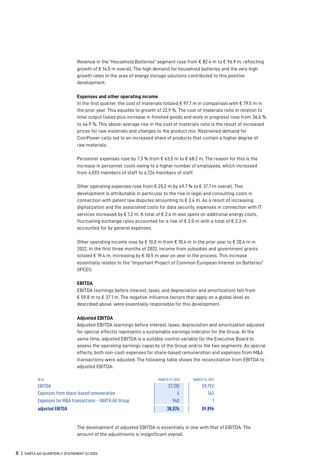Revenue in the "Household Batteries" segment rose from € 82.4 m to € 96.9 m, reflecting growth of € 14.5 m overall. The high demand for household batteries and the very high growth rates in the area of energy storage solutions contributed to this positive development.

#### **Expenses and other operating income**

In the first quarter, the cost of materials totaled  $\epsilon$  97.7 m in comparison with  $\epsilon$  79.5 m in the prior year. This equates to growth of 22.9 %. The cost of materials ratio in relation to total output (sales plus increase in finished goods and work in progress) rose from 36.6 % to 44.9 %. This above-average rise in the cost of materials ratio is the result of increased prices for raw materials and changes to the product mix. Restrained demand for CoinPower cells led to an increased share of products that contain a higher degree of raw materials.

Personnel expenses rose by 7.3 % from  $\epsilon$  63.5 m to  $\epsilon$  68.2 m. The reason for this is the increase in personnel costs owing to a higher number of employees, which increased from 4,593 members of staff to 4,724 members of staff.

Other operating expenses rose from  $\epsilon$  25.2 m by 49.7 % to  $\epsilon$  37.7 m overall. This development is attributable in particular to the rise in legal and consulting costs in connection with patent law disputes amounting to € 2.4 m. As a result of increasing digitalization and the associated costs for data security, expenses in connection with IT services increased by  $\epsilon$  1.2 m. A total of  $\epsilon$  2.4 m was spent on additional energy costs, fluctuating exchange rates accounted for a rise of  $\epsilon$  2.0 m with a total of  $\epsilon$  2.3 m accounted for by general expenses.

Other operating income rose by  $\epsilon$  10.0 m from  $\epsilon$  10.4 m in the prior year to  $\epsilon$  20.4 m in 2022. In the first three months of 2022, income from subsidies and government grants totaled  $\epsilon$  19.4 m, increasing by  $\epsilon$  10.5 m year on year in the process. This increase essentially relates to the "Important Project of Common European Interest on Batteries" (IPCEI).

#### **EBITDA**

EBITDA (earnings before interest, taxes, and depreciation and amortization) fell from € 59.8 m to € 37.1 m. The negative influence factors that apply on a global level as described above, were essentially responsible for this development.

#### **Adjusted EBITDA**

Adjusted EBITDA (earnings before interest, taxes, depreciation and amortization adjusted for special effects) represents a sustainable earnings indicator for the Group. At the same time, adjusted EBITDA is a suitable control variable for the Executive Board to assess the operating earnings capacity of the Group and/or the two segments. As special effects, both non-cash expenses for share-based remuneration and expenses from M&A transactions were adjusted. The following table shows the reconciliation from EBITDA to adjusted EBITDA:

| $(\epsilon k)$                                 | <b>MARCH 31, 2022</b> | <b>MARCH 31, 2021</b> |
|------------------------------------------------|-----------------------|-----------------------|
| EBITDA                                         | 37.130                | 59.752                |
| Expenses from share-based remuneration         |                       | 143                   |
| Expenses for M&A transactions - VARTA AG Group | 940                   |                       |
| adiusted EBITDA                                | 38.074                | 59.896                |

The development of adjusted EBITDA is essentially in line with that of EBITDA. The amount of the adjustments is insignificant overall.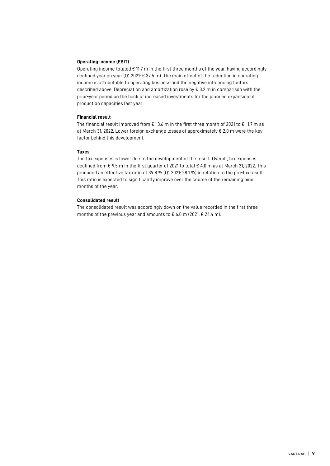#### **Operating income (EBIT)**

Operating income totaled  $\epsilon$  11.7 m in the first three months of the year, having accordingly declined year on year (Q1 2021: € 37.5 m). The main effect of the reduction in operating income is attributable to operating business and the negative influencing factors described above. Depreciation and amortization rose by € 3.2 m in comparison with the prior-year period on the back of increased investments for the planned expansion of production capacities last year.

#### **Financial result**

The financial result improved from  $\epsilon$  -3.6 m in the first three month of 2021 to  $\epsilon$  -1.7 m as at March 31, 2022. Lower foreign exchange losses of approximately € 2.0 m were the key factor behind this development.

#### **Taxes**

The tax expenses is lower due to the development of the result. Overall, tax expenses declined from € 9.5 m in the first quarter of 2021 to total € 4.0 m as at March 31, 2022. This produced an effective tax ratio of 39.8 % (Q1 2021: 28.1 %) in relation to the pre-tax result. This ratio is expected to significantly improve over the course of the remaining nine months of the year.

#### **Consolidated result**

The consolidated result was accordingly down on the value recorded in the first three months of the previous year and amounts to  $\epsilon$  6.0 m (2021:  $\epsilon$  24.4 m).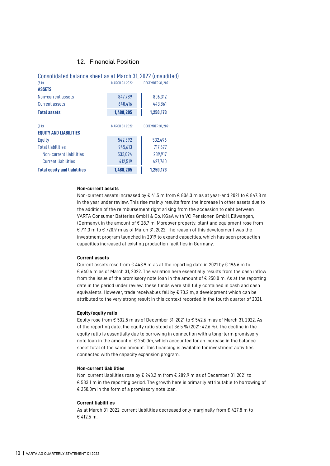#### 1.2. Financial Position

| Consolidated balance sheet as at March 31, 2022 (unaudited) |                       |                          |
|-------------------------------------------------------------|-----------------------|--------------------------|
| (E k)<br><b>MARCH 31, 2022</b><br><b>DECEMBER 31, 2021</b>  |                       |                          |
| <b>ASSETS</b>                                               |                       |                          |
| Non-current assets                                          | 847.789               | 806,312                  |
| Current assets                                              | 640,416               | 443,861                  |
| <b>Total assets</b>                                         | 1,488,205             | 1,250,173                |
|                                                             |                       |                          |
| (E <sub>k</sub> )                                           | <b>MARCH 31, 2022</b> | <b>DECEMBER 31, 2021</b> |
| <b>EQUITY AND LIABILITIES</b>                               |                       |                          |
| Equity                                                      | 542,592               | 532,496                  |
| <b>Total liabilities</b>                                    | 945,613               | 717,677                  |
| Non-current liabilities                                     | 533,094               | 289,917                  |
| <b>Current liabilities</b>                                  | 412,519               | 427,760                  |
| <b>Total equity and liabilities</b>                         | 1,488,205             | 1,250,173                |

#### **Non-current assets**

Non-current assets increased by € 41.5 m from € 806.3 m as at year-end 2021 to € 847.8 m in the year under review. This rise mainly results from the increase in other assets due to the addition of the reimbursement right arising from the accession to debt between VARTA Consumer Batteries GmbH & Co. KGaA with VC Pensionen GmbH, Ellwangen, (Germany), in the amount of  $\varepsilon$  28.7 m. Moreover property, plant and equipment rose from € 711.3 m to € 720.9 m as of March 31, 2022. The reason of this development was the investment program launched in 2019 to expand capacities, which has seen production capacities increased at existing production facilities in Germany.

#### **Current assets**

Current assets rose from € 443.9 m as at the reporting date in 2021 by € 196.6 m to € 640.4 m as of March 31, 2022. The variation here essentially results from the cash inflow from the issue of the promissory note loan in the amount of  $\epsilon$  250.0 m. As at the reporting date in the period under review, these funds were still fully contained in cash and cash equivalents. However, trade receivables fell by  $\epsilon$  73.2 m, a development which can be attributed to the very strong result in this context recorded in the fourth quarter of 2021.

#### **Equity/equity ratio**

Equity rose from € 532.5 m as of December 31, 2021 to € 542.6 m as of March 31, 2022. As of the reporting date, the equity ratio stood at 36.5 % (2021: 42.6 %). The decline in the equity ratio is essentially due to borrowing in connection with a long-term promissory note loan in the amount of € 250.0m, which accounted for an increase in the balance sheet total of the same amount. This financing is available for investment activities connected with the capacity expansion program.

#### **Non-current liabilities**

Non-current liabilities rose by € 243.2 m from € 289.9 m as of December 31, 2021 to € 533.1 m in the reporting period. The growth here is primarily attributable to borrowing of € 250.0m in the form of a promissory note loan.

#### **Current liabilities**

As at March 31, 2022, current liabilities decreased only marginally from € 427.8 m to € 412.5 m.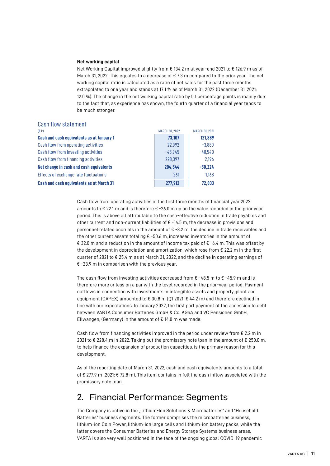#### **Net working capital**

Net Working Capital improved slightly from € 134.2 m at year-end 2021 to € 126.9 m as of March 31, 2022. This equates to a decrease of  $\epsilon$  7.3 m compared to the prior year. The net working capital ratio is calculated as a ratio of net sales for the past three months extrapolated to one year and stands at 17.1 % as of March 31, 2022 (December 31, 2021: 12.0 %). The change in the net working capital ratio by 5.1 percentage points is mainly due to the fact that, as experience has shown, the fourth quarter of a financial year tends to be much stronger.

| Cash flow statement                       |                       |                       |
|-------------------------------------------|-----------------------|-----------------------|
| (E k)                                     | <b>MARCH 31, 2022</b> | <b>MARCH 31, 2021</b> |
| Cash and cash equivalents as at January 1 | 73,107                | 121,889               |
| Cash flow from operating activities       | 22,092                | $-3,880$              |
| Cash flow from investing activities       | $-45.945$             | $-48.540$             |
| Cash flow from financing activities       | 228,397               | 2.196                 |
| Net change in cash and cash equivalents   | 204,544               | $-50,224$             |
| Effects of exchange rate fluctuations     | 261                   | 1,168                 |
| Cash and cash equivalents as at March 31  | 277,912               | 72,833                |

Cash flow from operating activities in the first three months of financial year 2022 amounts to  $\epsilon$  22.1 m and is therefore  $\epsilon$  -26.0 m up on the value recorded in the prior year period. This is above all attributable to the cash-effective reduction in trade payables and other current and non-current liabilities of  $\varepsilon$  -14.5 m, the decrease in provisions and personnel related accruals in the amount of  $\epsilon$  -8.2 m, the decline in trade receivables and the other current assets totaling  $\epsilon$  -50.6 m, increased inventories in the amount of € 32.0 m and a reduction in the amount of income tax paid of  $\epsilon$  -6.4 m. This was offset by the development in depreciation and amortization, which rose from  $\epsilon$  22.2 m in the first quarter of 2021 to € 25.4 m as at March 31, 2022, and the decline in operating earnings of € -23.9 m in comparison with the previous year.

The cash flow from investing activities decreased from  $\epsilon$  -48.5 m to  $\epsilon$  -45.9 m and is therefore more or less on a par with the level recorded in the prior-year period. Payment outflows in connection with investments in intangible assets and property, plant and equipment (CAPEX) amounted to  $\epsilon$  30.8 m (Q1 2021:  $\epsilon$  44.2 m) and therefore declined in line with our expectations. In January 2022, the first part payment of the accession to debt between VARTA Consumer Batteries GmbH & Co. KGaA and VC Pensionen GmbH, Ellwangen, (Germany) in the amount of  $\epsilon$  14.0 m was made.

Cash flow from financing activities improved in the period under review from  $\epsilon$  2.2 m in 2021 to € 228.4 m in 2022. Taking out the promissory note loan in the amount of € 250.0 m, to help finance the expansion of production capacities, is the primary reason for this development.

As of the reporting date of March 31, 2022, cash and cash equivalents amounts to a total of € 277.9 m (2021: € 72.8 m). This item contains in full the cash inflow associated with the promissory note loan.

### 2. Financial Performance: Segments

The Company is active in the "Lithium-Ion Solutions & Microbatteries" and "Household Batteries" business segments. The former comprises the microbatteries business, lithium-ion Coin Power, lithium-ion large cells and lithium-ion battery packs, while the latter covers the Consumer Batteries and Energy Storage Systems business areas. VARTA is also very well positioned in the face of the ongoing global COVID-19 pandemic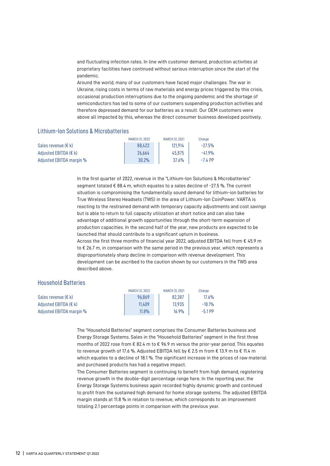and fluctuating infection rates. In line with customer demand, production activities at proprietary facilities have continued without serious interruption since the start of the pandemic.

Around the world, many of our customers have faced major challenges. The war in Ukraine, rising costs in terms of raw materials and energy prices triggered by this crisis, occasional production interruptions due to the ongoing pandemic and the shortage of semiconductors has led to some of our customers suspending production activities and therefore depressed demand for our batteries as a result. Our OEM customers were above all impacted by this, whereas the direct consumer business developed positively.

#### Lithium-Ion Solutions & Microbatteries

|                          | <b>MARCH 31, 2022</b> | <b>MARCH 31, 2021</b> | Change    |
|--------------------------|-----------------------|-----------------------|-----------|
| Sales revenue $(E k)$    | 88.422                | 121.914               | $-27.5%$  |
| Adjusted EBITDA $(E k)$  | 26.664                | 45.875                | $-41.9%$  |
| Adiusted EBITDA margin % | 30.2%                 | $37.6\%$              | $-7.4$ PP |

In the first quarter of 2022, revenue in the "Lithium-Ion Solutions & Microbatteries" segment totaled € 88.4 m, which equates to a sales decline of -27.5 %. The current situation is compromising the fundamentally sound demand for lithium-ion batteries for True Wireless Stereo Headsets (TWS) in the area of Lithium-Ion CoinPower. VARTA is reacting to the restrained demand with temporary capacity adjustments and cost savings but is able to return to full capacity utilization at short notice and can also take advantage of additional growth opportunities through the short-term expansion of production capacities. In the second half of the year, new products are expected to be launched that should contribute to a significant upturn in business. Across the first three months of financial year 2022, adjusted EBITDA fell from € 45.9 m to € 26.7 m, in comparison with the same period in the previous year, which represents a disproportionately sharp decline in comparison with revenue development. This development can be ascribed to the caution shown by our customers in the TWS area described above.

#### Household Batteries

|                              | <b>MARCH 31, 2022</b> | <b>MARCH 31, 2021</b> | Change    |
|------------------------------|-----------------------|-----------------------|-----------|
| Sales revenue $(E k)$        | 96.869                | 82,387                | $17.6\%$  |
| Adjusted EBITDA $(E \mid k)$ | 11.409                | 13.935                | $-18.1%$  |
| Adjusted EBITDA margin %     | $11.8\%$              | 16.9%                 | $-5.1$ PP |

The "Household Batteries" segment comprises the Consumer Batteries business and Energy Storage Systems. Sales in the "Household Batteries" segment in the first three months of 2022 rose from  $\epsilon$  82.4 m to  $\epsilon$  96.9 m versus the prior-year period. This equates to revenue growth of 17.6 %. Adjusted EBITDA fell by  $\epsilon$  2.5 m from  $\epsilon$  13.9 m to  $\epsilon$  11.4 m which equates to a decline of 18.1 %. The significant increase in the prices of raw material and purchased products has had a negative impact.

The Consumer Batteries segment is continuing to benefit from high demand, registering revenue growth in the double-digit percentage range here. In the reporting year, the Energy Storage Systems business again recorded highly dynamic growth and continued to profit from the sustained high demand for home storage systems. The adjusted EBITDA margin stands at 11.8 % in relation to revenue, which corresponds to an improvement totaling 2.1 percentage points in comparison with the previous year.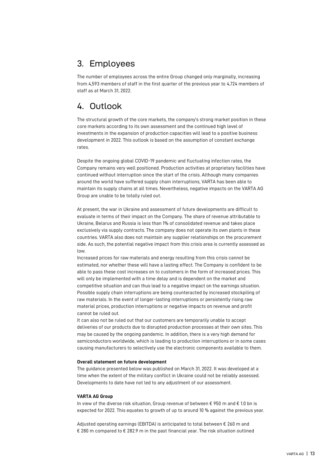## 3. Employees

The number of employees across the entire Group changed only marginally, increasing from 4,593 members of staff in the first quarter of the previous year to 4,724 members of staff as at March 31, 2022.

## 4. Outlook

The structural growth of the core markets, the company's strong market position in these core markets according to its own assessment and the continued high level of investments in the expansion of production capacities will lead to a positive business development in 2022. This outlook is based on the assumption of constant exchange rates.

Despite the ongoing global COVID-19 pandemic and fluctuating infection rates, the Company remains very well positioned. Production activities at proprietary facilities have continued without interruption since the start of the crisis. Although many companies around the world have suffered supply chain interruptions, VARTA has been able to maintain its supply chains at all times. Nevertheless, negative impacts on the VARTA AG Group are unable to be totally ruled out.

At present, the war in Ukraine and assessment of future developments are difficult to evaluate in terms of their impact on the Company. The share of revenue attributable to Ukraine, Belarus and Russia is less than 1% of consolidated revenue and takes place exclusively via supply contracts. The company does not operate its own plants in these countries. VARTA also does not maintain any supplier relationships on the procurement side. As such, the potential negative impact from this crisis area is currently assessed as low.

Increased prices for raw materials and energy resulting from this crisis cannot be estimated, nor whether these will have a lasting effect. The Company is confident to be able to pass these cost increases on to customers in the form of increased prices. This will only be implemented with a time delay and is dependent on the market and competitive situation and can thus lead to a negative impact on the earnings situation. Possible supply chain interruptions are being counteracted by increased stockpiling of raw materials. In the event of longer-lasting interruptions or persistently rising raw material prices, production interruptions or negative impacts on revenue and profit cannot be ruled out.

It can also not be ruled out that our customers are temporarily unable to accept deliveries of our products due to disrupted production processes at their own sites. This may be caused by the ongoing pandemic. In addition, there is a very high demand for semiconductors worldwide, which is leading to production interruptions or in some cases causing manufacturers to selectively use the electronic components available to them.

#### **Overall statement on future development**

The guidance presented below was published on March 31, 2022. It was developed at a time when the extent of the military conflict in Ukraine could not be reliably assessed. Developments to date have not led to any adjustment of our assessment.

#### **VARTA AG Group**

In view of the diverse risk situation, Group revenue of between € 950 m and € 1.0 bn is expected for 2022. This equates to growth of up to around 10 % against the previous year.

Adjusted operating earnings (EBITDA) is anticipated to total between € 260 m and € 280 m compared to € 282.9 m in the past financial year. The risk situation outlined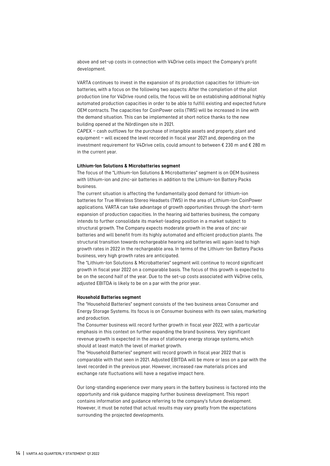above and set-up costs in connection with V4Drive cells impact the Company's profit development.

VARTA continues to invest in the expansion of its production capacities for lithium-ion batteries, with a focus on the following two aspects: After the completion of the pilot production line for V4Drive round cells, the focus will be on establishing additional highly automated production capacities in order to be able to fulfill existing and expected future OEM contracts. The capacities for CoinPower cells (TWS) will be increased in line with the demand situation. This can be implemented at short notice thanks to the new building opened at the Nördlingen site in 2021.

CAPEX – cash outflows for the purchase of intangible assets and property, plant and equipment – will exceed the level recorded in fiscal year 2021 and, depending on the investment requirement for V4Drive cells, could amount to between  $€ 230$  m and  $€ 280$  m in the current year.

#### **Lithium-Ion Solutions & Microbatteries segment**

The focus of the "Lithium-Ion Solutions & Microbatteries" segment is on OEM business with lithium-ion and zinc-air batteries in addition to the Lithium-Ion Battery Packs business.

The current situation is affecting the fundamentally good demand for lithium-ion batteries for True Wireless Stereo Headsets (TWS) in the area of Lithium-Ion CoinPower applications. VARTA can take advantage of growth opportunities through the short-term expansion of production capacities. In the hearing aid batteries business, the company intends to further consolidate its market-leading position in a market subject to structural growth. The Company expects moderate growth in the area of zinc-air batteries and will benefit from its highly automated and efficient production plants. The structural transition towards rechargeable hearing aid batteries will again lead to high growth rates in 2022 in the rechargeable area. In terms of the Lithium-Ion Battery Packs business, very high growth rates are anticipated.

The "Lithium-Ion Solutions & Microbatteries" segment will continue to record significant growth in fiscal year 2022 on a comparable basis. The focus of this growth is expected to be on the second half of the year. Due to the set-up costs associated with V4Drive cells, adjusted EBITDA is likely to be on a par with the prior year.

#### **Household Batteries segment**

The "Household Batteries" segment consists of the two business areas Consumer and Energy Storage Systems. Its focus is on Consumer business with its own sales, marketing and production.

The Consumer business will record further growth in fiscal year 2022, with a particular emphasis in this context on further expanding the brand business. Very significant revenue growth is expected in the area of stationary energy storage systems, which should at least match the level of market growth.

The "Household Batteries" segment will record growth in fiscal year 2022 that is comparable with that seen in 2021. Adjusted EBITDA will be more or less on a par with the level recorded in the previous year. However, increased raw materials prices and exchange rate fluctuations will have a negative impact here.

Our long-standing experience over many years in the battery business is factored into the opportunity and risk guidance mapping further business development. This report contains information and guidance referring to the company's future development. However, it must be noted that actual results may vary greatly from the expectations surrounding the projected developments.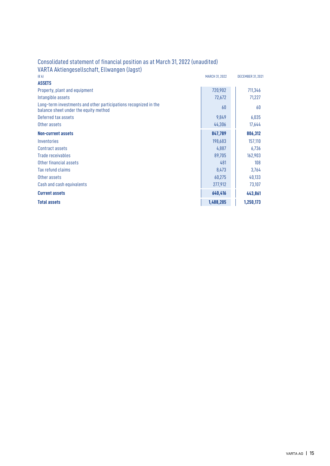| (E k)                                                                                                     | <b>MARCH 31, 2022</b> | <b>DECEMBER 31, 2021</b> |
|-----------------------------------------------------------------------------------------------------------|-----------------------|--------------------------|
| <b>ASSETS</b>                                                                                             |                       |                          |
| Property, plant and equipment                                                                             | 720,902               | 711,346                  |
| Intangible assets                                                                                         | 72,672                | 71,227                   |
| Long-term investments and other participations recognized in the<br>balance sheet under the equity method | 60                    | 60                       |
| Deferred tax assets                                                                                       | 9,849                 | 6,035                    |
| Other assets                                                                                              | 44,306                | 17,644                   |
| <b>Non-current assets</b>                                                                                 | 847,789               | 806,312                  |
| Inventories                                                                                               | 198,683               | 157,110                  |
| Contract assets                                                                                           | 4,887                 | 6,736                    |
| Trade receivables                                                                                         | 89,705                | 162,903                  |
| Other financial assets                                                                                    | 481                   | 108                      |
| Tax refund claims                                                                                         | 8,473                 | 3,764                    |
| Other assets                                                                                              | 60,275                | 40,133                   |
| Cash and cash equivalents                                                                                 | 277,912               | 73,107                   |
| <b>Current assets</b>                                                                                     | 640,416               | 443,861                  |
| <b>Total assets</b>                                                                                       | 1,488,205             | 1,250,173                |

### Consolidated statement of financial position as at March 31, 2022 (unaudited) VARTA Aktiengesellschaft, Ellwangen (Jagst)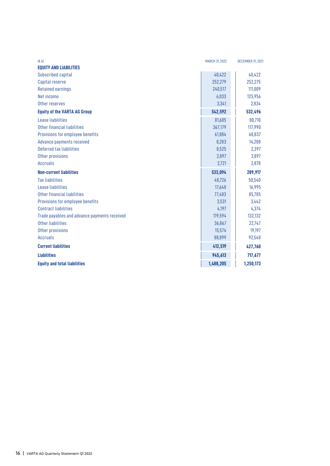| (E <sub>k</sub> )                            | <b>MARCH 31, 2022</b> | <b>DECEMBER 31, 2021</b> |
|----------------------------------------------|-----------------------|--------------------------|
| <b>EQUITY AND LIABILITIES</b>                |                       |                          |
| Subscribed capital                           | 40,422                | 40,422                   |
| Capital reserve                              | 252,279               | 252,275                  |
| <b>Retained earnings</b>                     | 240,517               | 111,009                  |
| Net income                                   | 6,033                 | 125,956                  |
| Other reserves                               | 3,341                 | 2,834                    |
| <b>Equity of the VARTA AG Group</b>          | 542,592               | 532,496                  |
| Lease liabilities                            | 81,605                | 80,710                   |
| Other financial liabilities                  | 367,179               | 117,990                  |
| Provisions for employee benefits             | 61,884                | 68,837                   |
| Advance payments received                    | 8,283                 | 14,208                   |
| Deferred tax liabilities                     | 8,525                 | 2,397                    |
| Other provisions                             | 2,897                 | 2,897                    |
| <b>Accruals</b>                              | 2,721                 | 2,878                    |
| <b>Non-current liabilities</b>               | 533,094               | 289,917                  |
| <b>Tax liabilities</b>                       | 48.726                | 50,540                   |
| Lease liabilities                            | 17,648                | 16,995                   |
| Other financial liabilities                  | 77,483                | 85,785                   |
| Provisions for employee benefits             | 3,531                 | 3,442                    |
| <b>Contract liabilities</b>                  | 4,197                 | 4,374                    |
| Trade payables and advance payments received | 119,594               | 132,132                  |
| Other liabilities                            | 36,867                | 22,747                   |
| Other provisions                             | 15,574                | 19,197                   |
| <b>Accruals</b>                              | 88,899                | 92,548                   |
| <b>Current liabilities</b>                   | 412,519               | 427,760                  |
| <b>Liabilities</b>                           | 945,613               | 717,677                  |
| <b>Equity and total liabilities</b>          | 1,488,205             | 1,250,173                |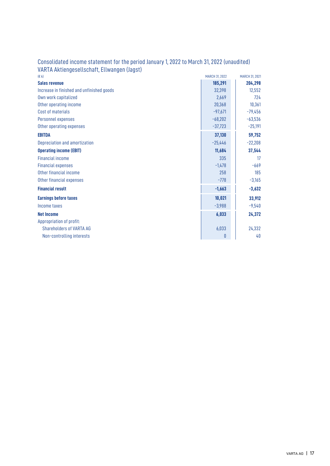| (E <sub>k</sub> )                         | <b>MARCH 31, 2022</b> | <b>MARCH 31, 2021</b> |
|-------------------------------------------|-----------------------|-----------------------|
| <b>Sales revenue</b>                      | 185,291               | 204,298               |
| Increase in finished and unfinished goods | 32,398                | 12,552                |
| Own work capitalized                      | 2,669                 | 724                   |
| Other operating income                    | 20,368                | 10,361                |
| Cost of materials                         | $-97,671$             | $-79,456$             |
| Personnel expenses                        | $-68,202$             | $-63,536$             |
| Other operating expenses                  | $-37,723$             | $-25,191$             |
| <b>EBITDA</b>                             | 37,130                | 59,752                |
| Depreciation and amortization             | $-25,446$             | $-22,208$             |
| <b>Operating income (EBIT)</b>            | 11,684                | 37,544                |
| <b>Financial income</b>                   | 335                   | 17                    |
| <b>Financial expenses</b>                 | $-1,478$              | $-669$                |
| Other financial income                    | 258                   | 185                   |
| Other financial expenses                  | $-778$                | $-3,165$              |
| <b>Financial result</b>                   | $-1,663$              | $-3,632$              |
| <b>Earnings before taxes</b>              | 10,021                | 33,912                |
| Income taxes                              | $-3,988$              | $-9,540$              |
| <b>Net Income</b>                         | 6,033                 | 24,372                |
| Appropriation of profit:                  |                       |                       |
| <b>Shareholders of VARTA AG</b>           | 6,033                 | 24,332                |
| Non-controlling interests                 | 0                     | 40                    |

### Consolidated income statement for the period January 1, 2022 to March 31, 2022 (unaudited) VARTA Aktiengesellschaft, Ellwangen (Jagst)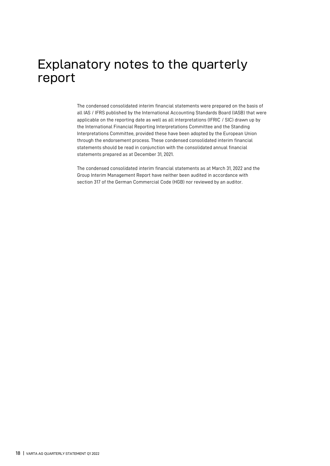## Explanatory notes to the quarterly report

The condensed consolidated interim financial statements were prepared on the basis of all IAS / IFRS published by the International Accounting Standards Board (IASB) that were applicable on the reporting date as well as all interpretations (IFRIC / SIC) drawn up by the International Financial Reporting Interpretations Committee and the Standing Interpretations Committee, provided these have been adopted by the European Union through the endorsement process. These condensed consolidated interim financial statements should be read in conjunction with the consolidated annual financial statements prepared as at December 31, 2021.

The condensed consolidated interim financial statements as at March 31, 2022 and the Group Interim Management Report have neither been audited in accordance with section 317 of the German Commercial Code (HGB) nor reviewed by an auditor.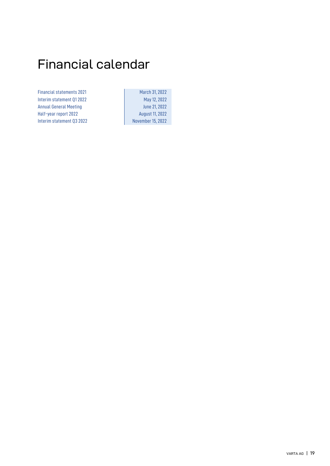## Financial calendar

Financial statements 2021 March 31, 2022 Interim statement Q1 2022 May 12, 2022 Annual General Meeting **Annual General Meeting** Annual School Super Half-year report 2022 **August 11, 2022** Interim statement Q3 2022 November 15, 2022